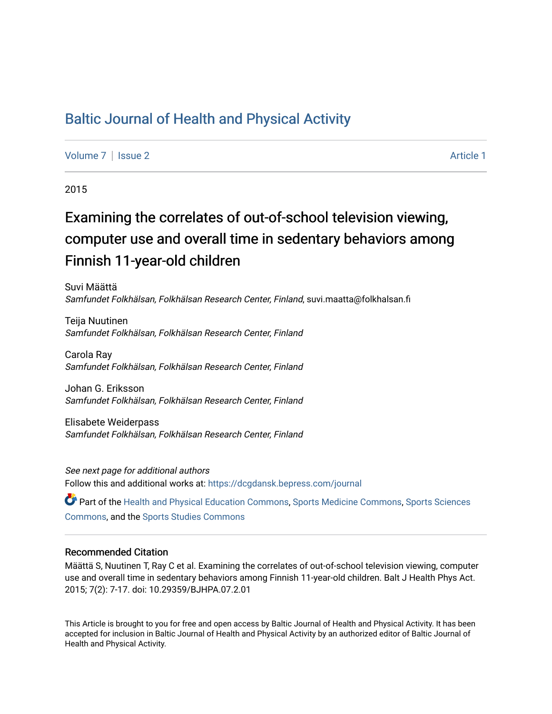## [Baltic Journal of Health and Physical Activity](https://dcgdansk.bepress.com/journal)

[Volume 7](https://dcgdansk.bepress.com/journal/vol7) | [Issue 2](https://dcgdansk.bepress.com/journal/vol7/iss2) Article 1

2015

# Examining the correlates of out-of-school television viewing, computer use and overall time in sedentary behaviors among Finnish 11-year-old children

Suvi Määttä Samfundet Folkhälsan, Folkhälsan Research Center, Finland, suvi.maatta@folkhalsan.fi

Teija Nuutinen Samfundet Folkhälsan, Folkhälsan Research Center, Finland

Carola Ray Samfundet Folkhälsan, Folkhälsan Research Center, Finland

Johan G. Eriksson Samfundet Folkhälsan, Folkhälsan Research Center, Finland

Elisabete Weiderpass Samfundet Folkhälsan, Folkhälsan Research Center, Finland

See next page for additional authors Follow this and additional works at: [https://dcgdansk.bepress.com/journal](https://dcgdansk.bepress.com/journal?utm_source=dcgdansk.bepress.com%2Fjournal%2Fvol7%2Fiss2%2F1&utm_medium=PDF&utm_campaign=PDFCoverPages)

Part of the [Health and Physical Education Commons](http://network.bepress.com/hgg/discipline/1327?utm_source=dcgdansk.bepress.com%2Fjournal%2Fvol7%2Fiss2%2F1&utm_medium=PDF&utm_campaign=PDFCoverPages), [Sports Medicine Commons,](http://network.bepress.com/hgg/discipline/1331?utm_source=dcgdansk.bepress.com%2Fjournal%2Fvol7%2Fiss2%2F1&utm_medium=PDF&utm_campaign=PDFCoverPages) [Sports Sciences](http://network.bepress.com/hgg/discipline/759?utm_source=dcgdansk.bepress.com%2Fjournal%2Fvol7%2Fiss2%2F1&utm_medium=PDF&utm_campaign=PDFCoverPages) [Commons](http://network.bepress.com/hgg/discipline/759?utm_source=dcgdansk.bepress.com%2Fjournal%2Fvol7%2Fiss2%2F1&utm_medium=PDF&utm_campaign=PDFCoverPages), and the [Sports Studies Commons](http://network.bepress.com/hgg/discipline/1198?utm_source=dcgdansk.bepress.com%2Fjournal%2Fvol7%2Fiss2%2F1&utm_medium=PDF&utm_campaign=PDFCoverPages) 

#### Recommended Citation

Määttä S, Nuutinen T, Ray C et al. Examining the correlates of out-of-school television viewing, computer use and overall time in sedentary behaviors among Finnish 11-year-old children. Balt J Health Phys Act. 2015; 7(2): 7-17. doi: 10.29359/BJHPA.07.2.01

This Article is brought to you for free and open access by Baltic Journal of Health and Physical Activity. It has been accepted for inclusion in Baltic Journal of Health and Physical Activity by an authorized editor of Baltic Journal of Health and Physical Activity.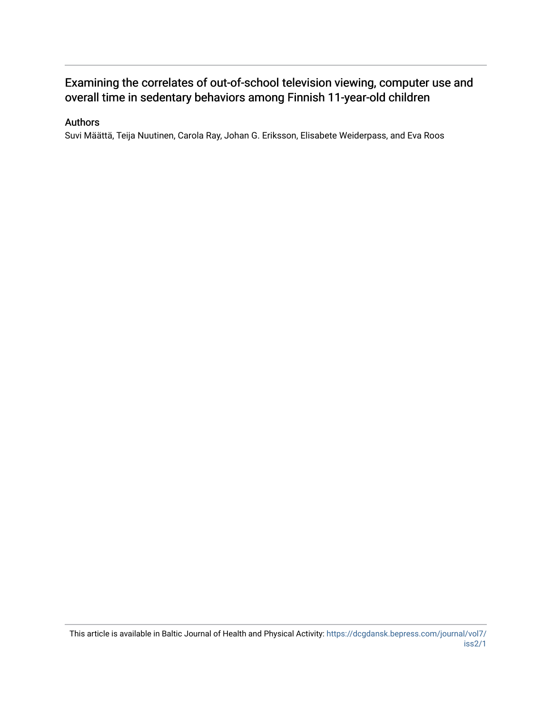## Examining the correlates of out-of-school television viewing, computer use and overall time in sedentary behaviors among Finnish 11-year-old children

### Authors

Suvi Määttä, Teija Nuutinen, Carola Ray, Johan G. Eriksson, Elisabete Weiderpass, and Eva Roos

This article is available in Baltic Journal of Health and Physical Activity: [https://dcgdansk.bepress.com/journal/vol7/](https://dcgdansk.bepress.com/journal/vol7/iss2/1) [iss2/1](https://dcgdansk.bepress.com/journal/vol7/iss2/1)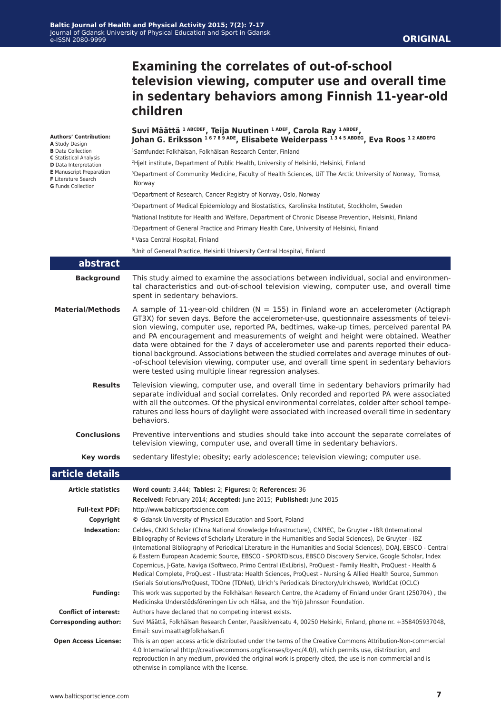## **Examining the correlates of out-of-school television viewing, computer use and overall time in sedentary behaviors among Finnish 11-year-old children**

| <b>Authors' Contribution:</b>                                               | Suvi Määttä <sup>1ABCDEF</sup> , Teija Nuutinen <sup>1ADEF</sup> , Carola Ray <sup>1ABDEF</sup><br>Johan G. Eriksson <sup>16789ADE</sup> , Elisabete Weiderpass <sup>1345ABDEG</sup> , Eva Roos <sup>12ABDEFG</sup>                                                                                                                                                                                                                                                                                                                                                                                                                                                                                                                                                                            |  |  |  |  |
|-----------------------------------------------------------------------------|------------------------------------------------------------------------------------------------------------------------------------------------------------------------------------------------------------------------------------------------------------------------------------------------------------------------------------------------------------------------------------------------------------------------------------------------------------------------------------------------------------------------------------------------------------------------------------------------------------------------------------------------------------------------------------------------------------------------------------------------------------------------------------------------|--|--|--|--|
| A Study Design<br><b>B</b> Data Collection<br><b>C</b> Statistical Analysis |                                                                                                                                                                                                                                                                                                                                                                                                                                                                                                                                                                                                                                                                                                                                                                                                |  |  |  |  |
|                                                                             | <sup>1</sup> Samfundet Folkhälsan, Folkhälsan Research Center, Finland                                                                                                                                                                                                                                                                                                                                                                                                                                                                                                                                                                                                                                                                                                                         |  |  |  |  |
| D Data Interpretation<br><b>E</b> Manuscript Preparation                    | <sup>2</sup> Hielt institute, Department of Public Health, University of Helsinki, Helsinki, Finland                                                                                                                                                                                                                                                                                                                                                                                                                                                                                                                                                                                                                                                                                           |  |  |  |  |
| F Literature Search<br><b>G</b> Funds Collection                            | <sup>3</sup> Department of Community Medicine, Faculty of Health Sciences, UIT The Arctic University of Norway, Tromsø,<br>Norway                                                                                                                                                                                                                                                                                                                                                                                                                                                                                                                                                                                                                                                              |  |  |  |  |
|                                                                             | <sup>4</sup> Department of Research, Cancer Registry of Norway, Oslo, Norway                                                                                                                                                                                                                                                                                                                                                                                                                                                                                                                                                                                                                                                                                                                   |  |  |  |  |
|                                                                             | <sup>5</sup> Department of Medical Epidemiology and Biostatistics, Karolinska Institutet, Stockholm, Sweden                                                                                                                                                                                                                                                                                                                                                                                                                                                                                                                                                                                                                                                                                    |  |  |  |  |
|                                                                             | <sup>6</sup> National Institute for Health and Welfare, Department of Chronic Disease Prevention, Helsinki, Finland                                                                                                                                                                                                                                                                                                                                                                                                                                                                                                                                                                                                                                                                            |  |  |  |  |
|                                                                             | <sup>7</sup> Department of General Practice and Primary Health Care, University of Helsinki, Finland                                                                                                                                                                                                                                                                                                                                                                                                                                                                                                                                                                                                                                                                                           |  |  |  |  |
|                                                                             | <sup>8</sup> Vasa Central Hospital, Finland                                                                                                                                                                                                                                                                                                                                                                                                                                                                                                                                                                                                                                                                                                                                                    |  |  |  |  |
|                                                                             | <sup>9</sup> Unit of General Practice, Helsinki University Central Hospital, Finland                                                                                                                                                                                                                                                                                                                                                                                                                                                                                                                                                                                                                                                                                                           |  |  |  |  |
| abstract                                                                    |                                                                                                                                                                                                                                                                                                                                                                                                                                                                                                                                                                                                                                                                                                                                                                                                |  |  |  |  |
| <b>Background</b>                                                           | This study aimed to examine the associations between individual, social and environmen-<br>tal characteristics and out-of-school television viewing, computer use, and overall time<br>spent in sedentary behaviors.                                                                                                                                                                                                                                                                                                                                                                                                                                                                                                                                                                           |  |  |  |  |
| <b>Material/Methods</b>                                                     | A sample of 11-year-old children ( $N = 155$ ) in Finland wore an accelerometer (Actigraph<br>GT3X) for seven days. Before the accelerometer-use, questionnaire assessments of televi-<br>sion viewing, computer use, reported PA, bedtimes, wake-up times, perceived parental PA<br>and PA encouragement and measurements of weight and height were obtained. Weather<br>data were obtained for the 7 days of accelerometer use and parents reported their educa-<br>tional background. Associations between the studied correlates and average minutes of out-<br>-of-school television viewing, computer use, and overall time spent in sedentary behaviors<br>were tested using multiple linear regression analyses.                                                                       |  |  |  |  |
| <b>Results</b>                                                              | Television viewing, computer use, and overall time in sedentary behaviors primarily had<br>separate individual and social correlates. Only recorded and reported PA were associated<br>with all the outcomes. Of the physical environmental correlates, colder after school tempe-<br>ratures and less hours of daylight were associated with increased overall time in sedentary<br>behaviors.                                                                                                                                                                                                                                                                                                                                                                                                |  |  |  |  |
| <b>Conclusions</b>                                                          | Preventive interventions and studies should take into account the separate correlates of<br>television viewing, computer use, and overall time in sedentary behaviors.                                                                                                                                                                                                                                                                                                                                                                                                                                                                                                                                                                                                                         |  |  |  |  |
| Key words                                                                   | sedentary lifestyle; obesity; early adolescence; television viewing; computer use.                                                                                                                                                                                                                                                                                                                                                                                                                                                                                                                                                                                                                                                                                                             |  |  |  |  |
| article details                                                             |                                                                                                                                                                                                                                                                                                                                                                                                                                                                                                                                                                                                                                                                                                                                                                                                |  |  |  |  |
| <b>Article statistics</b>                                                   | Word count: 3,444; Tables: 2; Figures: 0; References: 36                                                                                                                                                                                                                                                                                                                                                                                                                                                                                                                                                                                                                                                                                                                                       |  |  |  |  |
|                                                                             | Received: February 2014; Accepted: June 2015; Published: June 2015                                                                                                                                                                                                                                                                                                                                                                                                                                                                                                                                                                                                                                                                                                                             |  |  |  |  |
| <b>Full-text PDF:</b>                                                       | http://www.balticsportscience.com                                                                                                                                                                                                                                                                                                                                                                                                                                                                                                                                                                                                                                                                                                                                                              |  |  |  |  |
| Copyright                                                                   | © Gdansk University of Physical Education and Sport, Poland                                                                                                                                                                                                                                                                                                                                                                                                                                                                                                                                                                                                                                                                                                                                    |  |  |  |  |
| Indexation:                                                                 | Celdes, CNKI Scholar (China National Knowledge Infrastructure), CNPIEC, De Gruyter - IBR (International<br>Bibliography of Reviews of Scholarly Literature in the Humanities and Social Sciences), De Gruyter - IBZ<br>(International Bibliography of Periodical Literature in the Humanities and Social Sciences), DOAI, EBSCO - Central<br>& Eastern European Academic Source, EBSCO - SPORTDiscus, EBSCO Discovery Service, Google Scholar, Index<br>Copernicus, J-Gate, Naviga (Softweco, Primo Central (ExLibris), ProQuest - Family Health, ProQuest - Health &<br>Medical Complete, ProQuest - Illustrata: Health Sciences, ProQuest - Nursing & Allied Health Source, Summon<br>(Serials Solutions/ProQuest, TDOne (TDNet), Ulrich's Periodicals Directory/ulrichsweb, WorldCat (OCLC) |  |  |  |  |
| <b>Funding:</b>                                                             | This work was supported by the Folkhälsan Research Centre, the Academy of Finland under Grant (250704), the<br>Medicinska Understödsföreningen Liv och Hälsa, and the Yrjö Jahnsson Foundation.                                                                                                                                                                                                                                                                                                                                                                                                                                                                                                                                                                                                |  |  |  |  |
| <b>Conflict of interest:</b>                                                | Authors have declared that no competing interest exists.                                                                                                                                                                                                                                                                                                                                                                                                                                                                                                                                                                                                                                                                                                                                       |  |  |  |  |
| <b>Corresponding author:</b>                                                | Suvi Määttä, Folkhälsan Research Center, Paasikivenkatu 4, 00250 Helsinki, Finland, phone nr. +358405937048,<br>Email: suvi.maatta@folkhalsan.fi                                                                                                                                                                                                                                                                                                                                                                                                                                                                                                                                                                                                                                               |  |  |  |  |
| <b>Open Access License:</b>                                                 | This is an open access article distributed under the terms of the Creative Commons Attribution-Non-commercial<br>4.0 International (http://creativecommons.org/licenses/by-nc/4.0/), which permits use, distribution, and<br>reproduction in any medium, provided the original work is properly cited, the use is non-commercial and is                                                                                                                                                                                                                                                                                                                                                                                                                                                        |  |  |  |  |

otherwise in compliance with the license.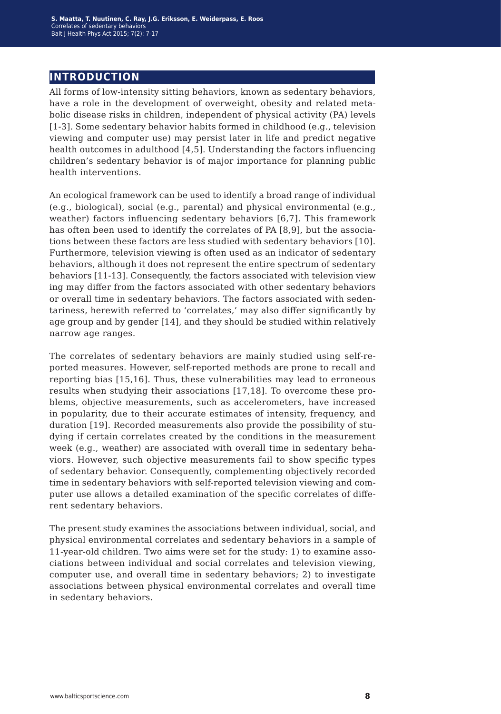## **introduction**

All forms of low-intensity sitting behaviors, known as sedentary behaviors, have a role in the development of overweight, obesity and related metabolic disease risks in children, independent of physical activity (PA) levels [1-3]. Some sedentary behavior habits formed in childhood (e.g., television viewing and computer use) may persist later in life and predict negative health outcomes in adulthood [4,5]. Understanding the factors influencing children's sedentary behavior is of major importance for planning public health interventions.

An ecological framework can be used to identify a broad range of individual (e.g., biological), social (e.g., parental) and physical environmental (e.g., weather) factors influencing sedentary behaviors [6,7]. This framework has often been used to identify the correlates of PA [8,9], but the associations between these factors are less studied with sedentary behaviors [10]. Furthermore, television viewing is often used as an indicator of sedentary behaviors, although it does not represent the entire spectrum of sedentary behaviors [11-13]. Consequently, the factors associated with television view ing may differ from the factors associated with other sedentary behaviors or overall time in sedentary behaviors. The factors associated with sedentariness, herewith referred to 'correlates,' may also differ significantly by age group and by gender [14], and they should be studied within relatively narrow age ranges.

The correlates of sedentary behaviors are mainly studied using self-reported measures. However, self-reported methods are prone to recall and reporting bias [15,16]. Thus, these vulnerabilities may lead to erroneous results when studying their associations [17,18]. To overcome these problems, objective measurements, such as accelerometers, have increased in popularity, due to their accurate estimates of intensity, frequency, and duration [19]. Recorded measurements also provide the possibility of studying if certain correlates created by the conditions in the measurement week (e.g., weather) are associated with overall time in sedentary behaviors. However, such objective measurements fail to show specific types of sedentary behavior. Consequently, complementing objectively recorded time in sedentary behaviors with self-reported television viewing and computer use allows a detailed examination of the specific correlates of different sedentary behaviors.

The present study examines the associations between individual, social, and physical environmental correlates and sedentary behaviors in a sample of 11-year-old children. Two aims were set for the study: 1) to examine associations between individual and social correlates and television viewing, computer use, and overall time in sedentary behaviors; 2) to investigate associations between physical environmental correlates and overall time in sedentary behaviors.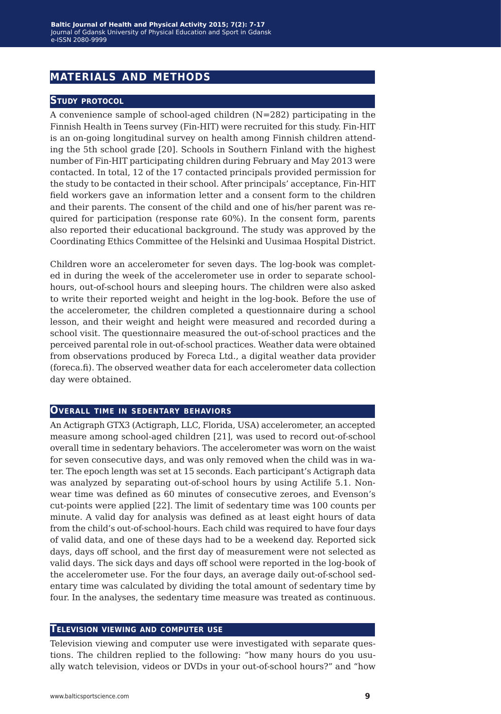## **materials and methods**

#### **Study protocol**

A convenience sample of school-aged children (N=282) participating in the Finnish Health in Teens survey (Fin-HIT) were recruited for this study. Fin-HIT is an on-going longitudinal survey on health among Finnish children attending the 5th school grade [20]. Schools in Southern Finland with the highest number of Fin-HIT participating children during February and May 2013 were contacted. In total, 12 of the 17 contacted principals provided permission for the study to be contacted in their school. After principals' acceptance, Fin-HIT field workers gave an information letter and a consent form to the children and their parents. The consent of the child and one of his/her parent was required for participation (response rate 60%). In the consent form, parents also reported their educational background. The study was approved by the Coordinating Ethics Committee of the Helsinki and Uusimaa Hospital District.

Children wore an accelerometer for seven days. The log-book was completed in during the week of the accelerometer use in order to separate schoolhours, out-of-school hours and sleeping hours. The children were also asked to write their reported weight and height in the log-book. Before the use of the accelerometer, the children completed a questionnaire during a school lesson, and their weight and height were measured and recorded during a school visit. The questionnaire measured the out-of-school practices and the perceived parental role in out-of-school practices. Weather data were obtained from observations produced by Foreca Ltd., a digital weather data provider (foreca.fi). The observed weather data for each accelerometer data collection day were obtained.

#### **Overall time in sedentary behaviors**

An Actigraph GTX3 (Actigraph, LLC, Florida, USA) accelerometer, an accepted measure among school-aged children [21], was used to record out-of-school overall time in sedentary behaviors. The accelerometer was worn on the waist for seven consecutive days, and was only removed when the child was in water. The epoch length was set at 15 seconds. Each participant's Actigraph data was analyzed by separating out-of-school hours by using Actilife 5.1. Nonwear time was defined as 60 minutes of consecutive zeroes, and Evenson's cut-points were applied [22]. The limit of sedentary time was 100 counts per minute. A valid day for analysis was defined as at least eight hours of data from the child's out-of-school-hours. Each child was required to have four days of valid data, and one of these days had to be a weekend day. Reported sick days, days off school, and the first day of measurement were not selected as valid days. The sick days and days off school were reported in the log-book of the accelerometer use. For the four days, an average daily out-of-school sedentary time was calculated by dividing the total amount of sedentary time by four. In the analyses, the sedentary time measure was treated as continuous.

#### **Television viewing and computer use**

Television viewing and computer use were investigated with separate questions. The children replied to the following: "how many hours do you usually watch television, videos or DVDs in your out-of-school hours?" and "how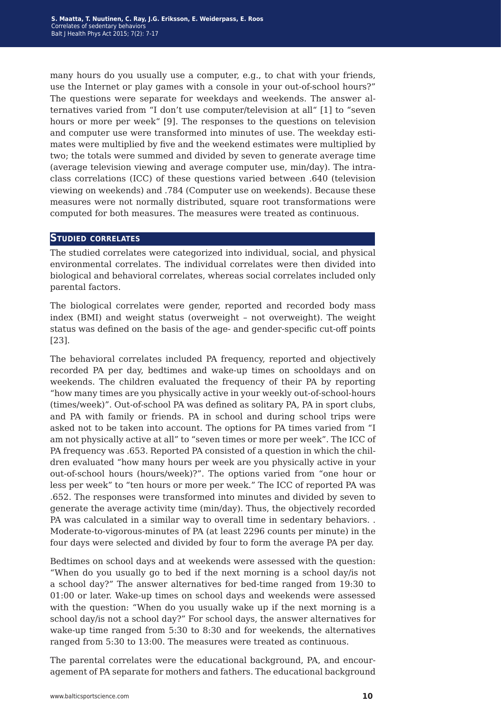many hours do you usually use a computer, e.g., to chat with your friends, use the Internet or play games with a console in your out-of-school hours?" The questions were separate for weekdays and weekends. The answer alternatives varied from "I don't use computer/television at all" [1] to "seven hours or more per week" [9]. The responses to the questions on television and computer use were transformed into minutes of use. The weekday estimates were multiplied by five and the weekend estimates were multiplied by two; the totals were summed and divided by seven to generate average time (average television viewing and average computer use, min/day). The intraclass correlations (ICC) of these questions varied between .640 (television viewing on weekends) and .784 (Computer use on weekends). Because these measures were not normally distributed, square root transformations were computed for both measures. The measures were treated as continuous.

#### **Studied correlates**

The studied correlates were categorized into individual, social, and physical environmental correlates. The individual correlates were then divided into biological and behavioral correlates, whereas social correlates included only parental factors.

The biological correlates were gender, reported and recorded body mass index (BMI) and weight status (overweight – not overweight). The weight status was defined on the basis of the age- and gender-specific cut-off points [23].

The behavioral correlates included PA frequency, reported and objectively recorded PA per day, bedtimes and wake-up times on schooldays and on weekends. The children evaluated the frequency of their PA by reporting "how many times are you physically active in your weekly out-of-school-hours (times/week)". Out-of-school PA was defined as solitary PA, PA in sport clubs, and PA with family or friends. PA in school and during school trips were asked not to be taken into account. The options for PA times varied from "I am not physically active at all" to "seven times or more per week". The ICC of PA frequency was .653. Reported PA consisted of a question in which the children evaluated "how many hours per week are you physically active in your out-of-school hours (hours/week)?". The options varied from "one hour or less per week" to "ten hours or more per week." The ICC of reported PA was .652. The responses were transformed into minutes and divided by seven to generate the average activity time (min/day). Thus, the objectively recorded PA was calculated in a similar way to overall time in sedentary behaviors. . Moderate-to-vigorous-minutes of PA (at least 2296 counts per minute) in the four days were selected and divided by four to form the average PA per day.

Bedtimes on school days and at weekends were assessed with the question: "When do you usually go to bed if the next morning is a school day/is not a school day?" The answer alternatives for bed-time ranged from 19:30 to 01:00 or later. Wake-up times on school days and weekends were assessed with the question: "When do you usually wake up if the next morning is a school day/is not a school day?" For school days, the answer alternatives for wake-up time ranged from 5:30 to 8:30 and for weekends, the alternatives ranged from 5:30 to 13:00. The measures were treated as continuous.

The parental correlates were the educational background, PA, and encouragement of PA separate for mothers and fathers. The educational background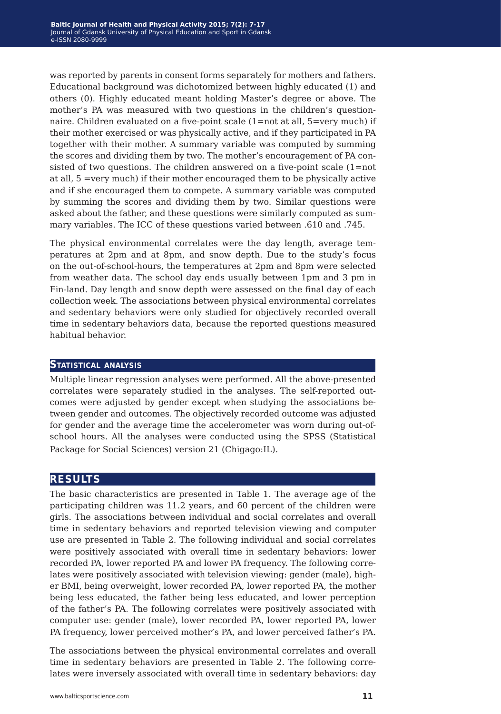was reported by parents in consent forms separately for mothers and fathers. Educational background was dichotomized between highly educated (1) and others (0). Highly educated meant holding Master's degree or above. The mother's PA was measured with two questions in the children's questionnaire. Children evaluated on a five-point scale (1=not at all, 5=very much) if their mother exercised or was physically active, and if they participated in PA together with their mother. A summary variable was computed by summing the scores and dividing them by two. The mother's encouragement of PA consisted of two questions. The children answered on a five-point scale  $(1=not$ at all, 5 =very much) if their mother encouraged them to be physically active and if she encouraged them to compete. A summary variable was computed by summing the scores and dividing them by two. Similar questions were asked about the father, and these questions were similarly computed as summary variables. The ICC of these questions varied between .610 and .745.

The physical environmental correlates were the day length, average temperatures at 2pm and at 8pm, and snow depth. Due to the study's focus on the out-of-school-hours, the temperatures at 2pm and 8pm were selected from weather data. The school day ends usually between 1pm and 3 pm in Fin-land. Day length and snow depth were assessed on the final day of each collection week. The associations between physical environmental correlates and sedentary behaviors were only studied for objectively recorded overall time in sedentary behaviors data, because the reported questions measured habitual behavior.

#### **Statistical analysis**

Multiple linear regression analyses were performed. All the above-presented correlates were separately studied in the analyses. The self-reported outcomes were adjusted by gender except when studying the associations between gender and outcomes. The objectively recorded outcome was adjusted for gender and the average time the accelerometer was worn during out-ofschool hours. All the analyses were conducted using the SPSS (Statistical Package for Social Sciences) version 21 (Chigago:IL).

### **results**

The basic characteristics are presented in Table 1. The average age of the participating children was 11.2 years, and 60 percent of the children were girls. The associations between individual and social correlates and overall time in sedentary behaviors and reported television viewing and computer use are presented in Table 2. The following individual and social correlates were positively associated with overall time in sedentary behaviors: lower recorded PA, lower reported PA and lower PA frequency. The following correlates were positively associated with television viewing: gender (male), higher BMI, being overweight, lower recorded PA, lower reported PA, the mother being less educated, the father being less educated, and lower perception of the father's PA. The following correlates were positively associated with computer use: gender (male), lower recorded PA, lower reported PA, lower PA frequency, lower perceived mother's PA, and lower perceived father's PA.

The associations between the physical environmental correlates and overall time in sedentary behaviors are presented in Table 2. The following correlates were inversely associated with overall time in sedentary behaviors: day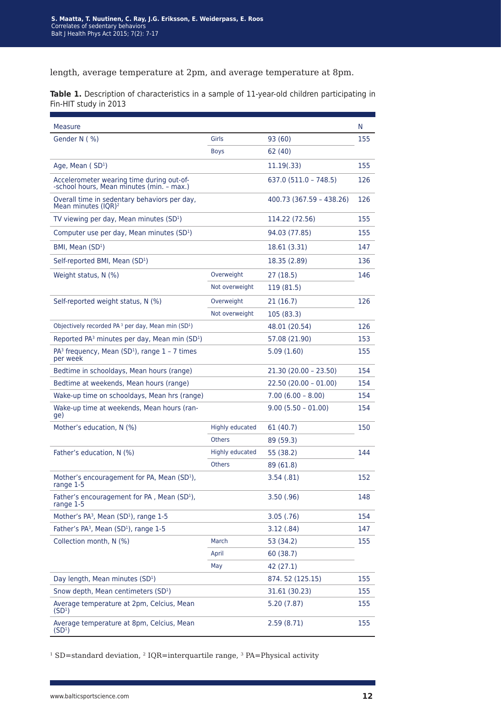length, average temperature at 2pm, and average temperature at 8pm.

**Table 1.** Description of characteristics in a sample of 11-year-old children participating in Fin-HIT study in 2013

| Measure                                                                                |                        |                          | N   |
|----------------------------------------------------------------------------------------|------------------------|--------------------------|-----|
| Gender N (%)                                                                           | <b>Girls</b>           | 93 (60)                  | 155 |
|                                                                                        | Boys                   | 62 (40)                  |     |
| Age, Mean (SD <sup>1</sup> )                                                           |                        | 11.19(.33)               | 155 |
| Accelerometer wearing time during out-of-<br>-school hours, Mean minutes (min. - max.) |                        | 637.0 (511.0 – 748.5)    | 126 |
| Overall time in sedentary behaviors per day,<br>Mean minutes $(IQR)^2$                 |                        | 400.73 (367.59 – 438.26) | 126 |
| TV viewing per day, Mean minutes (SD <sup>1</sup> )                                    |                        | 114.22 (72.56)           | 155 |
| Computer use per day, Mean minutes (SD <sup>1</sup> )                                  |                        | 94.03 (77.85)            | 155 |
| BMI, Mean (SD <sup>1</sup> )                                                           |                        | 18.61 (3.31)             | 147 |
| Self-reported BMI, Mean (SD <sup>1</sup> )                                             |                        | 18.35 (2.89)             | 136 |
| Weight status, N (%)                                                                   | Overweight             | 27 (18.5)                | 146 |
|                                                                                        | Not overweight         | 119 (81.5)               |     |
| Self-reported weight status, N (%)                                                     | Overweight             | 21 (16.7)                | 126 |
|                                                                                        | Not overweight         | 105 (83.3)               |     |
| Objectively recorded PA <sup>3</sup> per day, Mean min (SD <sup>1</sup> )              |                        | 48.01 (20.54)            | 126 |
| Reported PA <sup>3</sup> minutes per day, Mean min (SD <sup>1</sup> )                  |                        | 57.08 (21.90)            | 153 |
| $PA3$ frequency, Mean (SD <sup>1</sup> ), range $1 - 7$ times<br>per week              |                        | 5.09(1.60)               | 155 |
| Bedtime in schooldays, Mean hours (range)                                              |                        | 21.30 (20.00 - 23.50)    | 154 |
| Bedtime at weekends, Mean hours (range)                                                |                        | $22.50(20.00 - 01.00)$   | 154 |
| Wake-up time on schooldays, Mean hrs (range)                                           |                        | $7.00(6.00 - 8.00)$      | 154 |
| Wake-up time at weekends, Mean hours (ran-<br>ge)                                      |                        | $9.00(5.50 - 01.00)$     | 154 |
| Mother's education, N (%)                                                              | <b>Highly educated</b> | 61 (40.7)                | 150 |
|                                                                                        | <b>Others</b>          | 89 (59.3)                |     |
| Father's education, N (%)                                                              | <b>Highly educated</b> | 55 (38.2)                | 144 |
|                                                                                        | <b>Others</b>          | 89 (61.8)                |     |
| Mother's encouragement for PA, Mean (SD <sup>1</sup> ),<br>range 1-5                   |                        | 3.54 (.81)               | 152 |
| Father's encouragement for PA, Mean (SD <sup>1</sup> ),<br>range 1-5                   |                        | 3.50(0.96)               | 148 |
| Mother's PA <sup>3</sup> , Mean (SD <sup>1</sup> ), range 1-5                          |                        | 3.05(.76)                | 154 |
| Father's PA <sup>3</sup> , Mean (SD <sup>1</sup> ), range 1-5                          |                        | 3.12(.84)                | 147 |
| Collection month, N (%)                                                                | March                  | 53 (34.2)                | 155 |
|                                                                                        | April                  | 60 (38.7)                |     |
|                                                                                        | May                    | 42 (27.1)                |     |
| Day length, Mean minutes (SD <sup>1</sup> )                                            |                        | 874.52 (125.15)          | 155 |
| Snow depth, Mean centimeters (SD <sup>1</sup> )                                        |                        | 31.61 (30.23)            | 155 |
| Average temperature at 2pm, Celcius, Mean<br>(SD <sup>1</sup> )                        |                        | 5.20 (7.87)              | 155 |
| Average temperature at 8pm, Celcius, Mean<br>(SD <sup>1</sup> )                        |                        | 2.59(8.71)               | 155 |

<sup>1</sup> SD=standard deviation, <sup>2</sup> IQR=interquartile range, <sup>3</sup> PA=Physical activity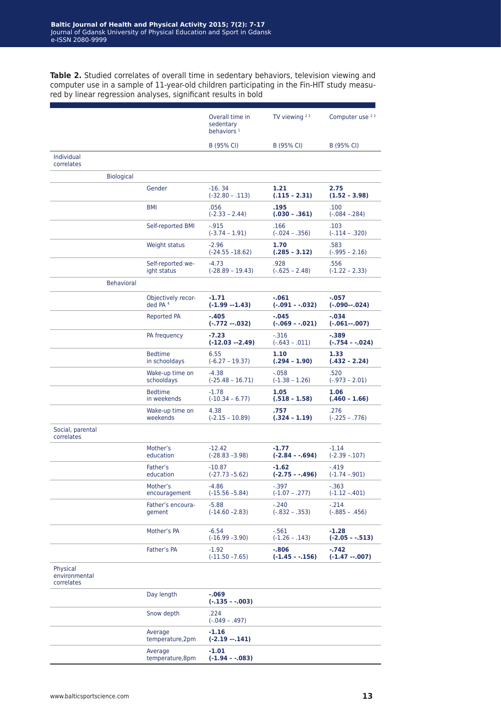**Table 2.** Studied correlates of overall time in sedentary behaviors, television viewing and computer use in a sample of 11-year-old children participating in the Fin-HIT study measured by linear regression analyses, significant results in bold

|                                         |                   |                                           | Overall time in<br>sedentary<br>behaviors $1$ | TV viewing $23$             | Computer use 23             |
|-----------------------------------------|-------------------|-------------------------------------------|-----------------------------------------------|-----------------------------|-----------------------------|
|                                         |                   |                                           | B (95% CI)                                    | B (95% CI)                  | B (95% CI)                  |
| Individual<br>correlates                |                   |                                           |                                               |                             |                             |
|                                         | <b>Biological</b> |                                           |                                               |                             |                             |
|                                         |                   | Gender                                    | $-16.34$<br>$(-32.80 - .113)$                 | 1.21<br>$(.115 - 2.31)$     | 2.75<br>$(1.52 - 3.98)$     |
|                                         |                   | <b>BMI</b>                                | .056<br>$(-2.33 - 2.44)$                      | .195<br>$(.030 - .361)$     | .100<br>(-.084 –.284)       |
|                                         |                   | Self-reported BMI                         | $-0.915$<br>$(-3.74 - 1.91)$                  | .166<br>(-.024 – .356)      | .103<br>$(-.114 - .320)$    |
|                                         |                   | Weight status                             | $-2.96$<br>$(-24.55 - 18.62)$                 | 1.70<br>$(.285 - 3.12)$     | .583<br>$(-.995 - 2.16)$    |
|                                         |                   | Self-reported we-<br>ight status          | -4.73<br>$(-28.89 - 19.43)$                   | .928<br>$(-.625 - 2.48)$    | .556<br>$(-1.22 - 2.33)$    |
|                                         | <b>Behavioral</b> |                                           |                                               |                             |                             |
|                                         |                   | Objectively recor-<br>ded PA <sup>4</sup> | -1.71<br>$(-1.99 - 1.43)$                     | -.061<br>(-.091 - -.032)    | -.057<br>$(-.090 - .024)$   |
|                                         |                   | Reported PA                               | -.405<br>$(-.772 - .032)$                     | -.045<br>$(-.069 - .021)$   | $-.034$<br>$(-.061007)$     |
|                                         |                   | PA frequency                              | $-7.23$<br>$(-12.03 - 2.49)$                  | -.316<br>$(-.643 - .011)$   | $-.389$<br>(-.754 - -.024)  |
|                                         |                   | <b>Bedtime</b><br>in schooldays           | 6.55<br>$(-6.27 - 19.37)$                     | 1.10<br>$(.294 - 1.90)$     | 1.33<br>$(.432 - 2.24)$     |
|                                         |                   | Wake-up time on<br>schooldays             | $-4.38$<br>$(-25.48 - 16.71)$                 | -.058<br>$(-1.38 - 1.26)$   | .520<br>$(-.973 - 2.01)$    |
|                                         |                   | <b>Bedtime</b><br>in weekends             | $-1.78$<br>$(-10.34 - 6.77)$                  | 1.05<br>$(.518 - 1.58)$     | 1.06<br>$(.460 - 1.66)$     |
|                                         |                   | Wake-up time on<br>weekends               | 4.38<br>$(-2.15 - 10.89)$                     | .757<br>$(.324 - 1.19)$     | .276<br>$(-.225 - .776)$    |
| Social, parental<br>correlates          |                   |                                           |                                               |                             |                             |
|                                         |                   | Mother's<br>education                     | $-12.42$<br>$(-28.83 - 3.98)$                 | -1.77<br>(-2.84 - -.694)    | $-1.14$<br>$(-2.39 - 107)$  |
|                                         |                   | Father's<br>education                     | -10.87<br>$(-27.73 - 5.62)$                   | -1.62<br>(-2.75 - -.496)    | -.419<br>$(-1.74 - 901)$    |
|                                         |                   | Mother's<br>encouragement                 | -4.86<br>$(-15.56 - 5.84)$                    | $-.397$<br>$(-1.07 - .277)$ | -.363<br>$(-1.12 - 401)$    |
|                                         |                   | Father's encoura-<br>gement               | $-5.88$<br>$(-14.60 - 2.83)$                  | -.240<br>$(-.832 - .353)$   | $-.214$<br>$(-.885 - .456)$ |
|                                         |                   | Mother's PA                               | $-6.54$<br>$(-16.99 - 3.90)$                  | -.561<br>$(-1.26 - .143)$   | $-1.28$<br>$(-2.05 - .513)$ |
|                                         |                   | Father's PA                               | $-1.92$<br>$(-11.50 - 7.65)$                  | -.806<br>$(-1.45 - .156)$   | -.742<br>$(-1.47 - 0.007)$  |
| Physical<br>environmental<br>correlates |                   |                                           |                                               |                             |                             |
|                                         |                   | Day length                                | $-069$<br>$(-.135 - .003)$                    |                             |                             |
|                                         |                   | Snow depth                                | .224<br>$(-.049 - .497)$                      |                             |                             |
|                                         |                   | Average<br>temperature, 2pm               | $-1.16$<br>$(-2.19 - 141)$                    |                             |                             |
|                                         |                   | Average                                   | $-1.01$                                       |                             |                             |

temperature,8pm

**(-1.94 – -.083)**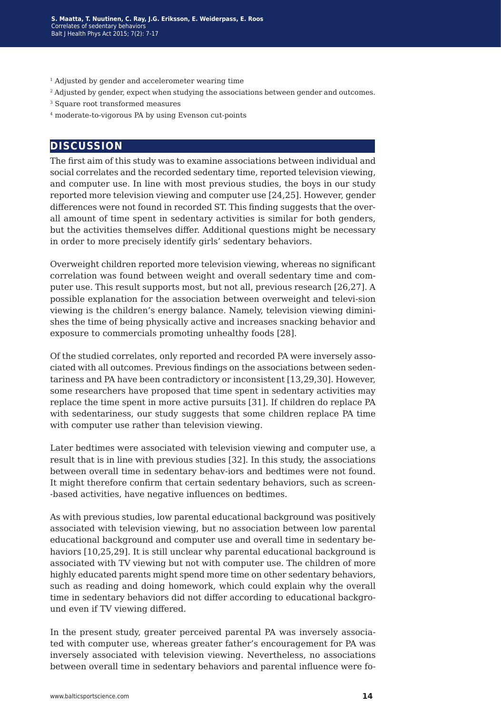- <sup>1</sup> Adjusted by gender and accelerometer wearing time
- <sup>2</sup> Adjusted by gender, expect when studying the associations between gender and outcomes.
- 3 Square root transformed measures
- 4 moderate-to-vigorous PA by using Evenson cut-points

### **discussion**

The first aim of this study was to examine associations between individual and social correlates and the recorded sedentary time, reported television viewing, and computer use. In line with most previous studies, the boys in our study reported more television viewing and computer use [24,25]. However, gender differences were not found in recorded ST. This finding suggests that the overall amount of time spent in sedentary activities is similar for both genders, but the activities themselves differ. Additional questions might be necessary in order to more precisely identify girls' sedentary behaviors.

Overweight children reported more television viewing, whereas no significant correlation was found between weight and overall sedentary time and computer use. This result supports most, but not all, previous research [26,27]. A possible explanation for the association between overweight and televi-sion viewing is the children's energy balance. Namely, television viewing diminishes the time of being physically active and increases snacking behavior and exposure to commercials promoting unhealthy foods [28].

Of the studied correlates, only reported and recorded PA were inversely associated with all outcomes. Previous findings on the associations between sedentariness and PA have been contradictory or inconsistent [13,29,30]. However, some researchers have proposed that time spent in sedentary activities may replace the time spent in more active pursuits [31]. If children do replace PA with sedentariness, our study suggests that some children replace PA time with computer use rather than television viewing.

Later bedtimes were associated with television viewing and computer use, a result that is in line with previous studies [32]. In this study, the associations between overall time in sedentary behav-iors and bedtimes were not found. It might therefore confirm that certain sedentary behaviors, such as screen- -based activities, have negative influences on bedtimes.

As with previous studies, low parental educational background was positively associated with television viewing, but no association between low parental educational background and computer use and overall time in sedentary behaviors [10,25,29]. It is still unclear why parental educational background is associated with TV viewing but not with computer use. The children of more highly educated parents might spend more time on other sedentary behaviors, such as reading and doing homework, which could explain why the overall time in sedentary behaviors did not differ according to educational background even if TV viewing differed.

In the present study, greater perceived parental PA was inversely associated with computer use, whereas greater father's encouragement for PA was inversely associated with television viewing. Nevertheless, no associations between overall time in sedentary behaviors and parental influence were fo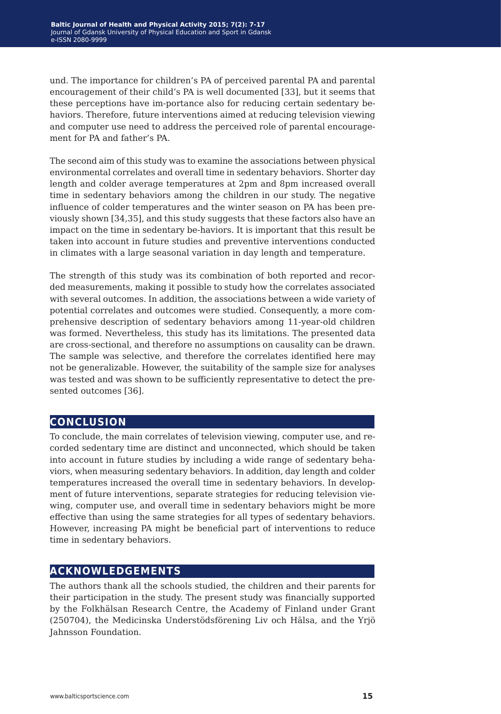und. The importance for children's PA of perceived parental PA and parental encouragement of their child's PA is well documented [33], but it seems that these perceptions have im-portance also for reducing certain sedentary behaviors. Therefore, future interventions aimed at reducing television viewing and computer use need to address the perceived role of parental encouragement for PA and father's PA.

The second aim of this study was to examine the associations between physical environmental correlates and overall time in sedentary behaviors. Shorter day length and colder average temperatures at 2pm and 8pm increased overall time in sedentary behaviors among the children in our study. The negative influence of colder temperatures and the winter season on PA has been previously shown [34,35], and this study suggests that these factors also have an impact on the time in sedentary be-haviors. It is important that this result be taken into account in future studies and preventive interventions conducted in climates with a large seasonal variation in day length and temperature.

The strength of this study was its combination of both reported and recorded measurements, making it possible to study how the correlates associated with several outcomes. In addition, the associations between a wide variety of potential correlates and outcomes were studied. Consequently, a more comprehensive description of sedentary behaviors among 11-year-old children was formed. Nevertheless, this study has its limitations. The presented data are cross-sectional, and therefore no assumptions on causality can be drawn. The sample was selective, and therefore the correlates identified here may not be generalizable. However, the suitability of the sample size for analyses was tested and was shown to be sufficiently representative to detect the presented outcomes [36].

## **conclusion**

To conclude, the main correlates of television viewing, computer use, and recorded sedentary time are distinct and unconnected, which should be taken into account in future studies by including a wide range of sedentary behaviors, when measuring sedentary behaviors. In addition, day length and colder temperatures increased the overall time in sedentary behaviors. In development of future interventions, separate strategies for reducing television viewing, computer use, and overall time in sedentary behaviors might be more effective than using the same strategies for all types of sedentary behaviors. However, increasing PA might be beneficial part of interventions to reduce time in sedentary behaviors.

## **acknowledgements**

The authors thank all the schools studied, the children and their parents for their participation in the study. The present study was financially supported by the Folkhälsan Research Centre, the Academy of Finland under Grant (250704), the Medicinska Understödsförening Liv och Hälsa, and the Yrjö Jahnsson Foundation.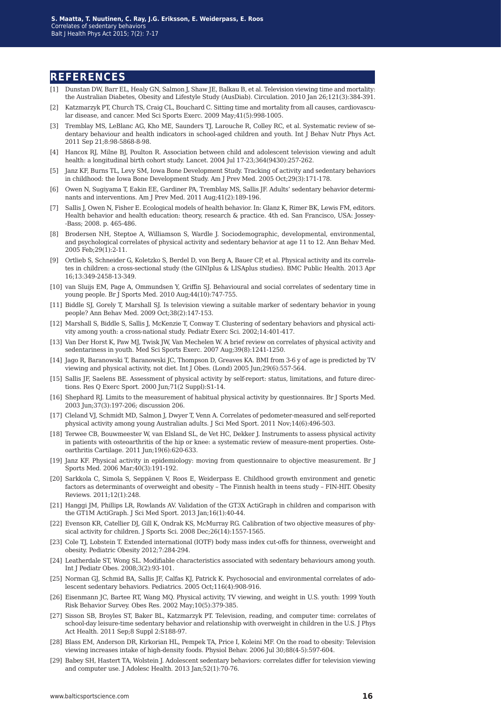#### **references**

- [1] Dunstan DW, Barr EL, Healy GN, Salmon J, Shaw JE, Balkau B, et al. Television viewing time and mortality: the Australian Diabetes, Obesity and Lifestyle Study (AusDiab). Circulation. 2010 Jan 26;121(3):384-391.
- [2] Katzmarzyk PT, Church TS, Craig CL, Bouchard C. Sitting time and mortality from all causes, cardiovascular disease, and cancer. Med Sci Sports Exerc. 2009 May;41(5):998-1005.
- [3] Tremblay MS, LeBlanc AG, Kho ME, Saunders TJ, Larouche R, Colley RC, et al. Systematic review of sedentary behaviour and health indicators in school-aged children and youth. Int J Behav Nutr Phys Act. 2011 Sep 21;8:98-5868-8-98.
- [4] Hancox RJ, Milne BJ, Poulton R. Association between child and adolescent television viewing and adult health: a longitudinal birth cohort study. Lancet. 2004 Jul 17-23;364(9430):257-262.
- [5] Janz KF, Burns TL, Levy SM, Iowa Bone Development Study. Tracking of activity and sedentary behaviors in childhood: the Iowa Bone Development Study. Am J Prev Med. 2005 Oct;29(3):171-178.
- [6] Owen N, Sugiyama T, Eakin EE, Gardiner PA, Tremblay MS, Sallis JF. Adults' sedentary behavior determinants and interventions. Am J Prev Med. 2011 Aug;41(2):189-196.
- [7] Sallis J, Owen N, Fisher E. Ecological models of health behavior. In: Glanz K, Rimer BK, Lewis FM, editors. Health behavior and health education: theory, research & practice. 4th ed. San Francisco, USA: Jossey- -Bass; 2008. p. 465-486.
- [8] Brodersen NH, Steptoe A, Williamson S, Wardle J. Sociodemographic, developmental, environmental, and psychological correlates of physical activity and sedentary behavior at age 11 to 12. Ann Behav Med. 2005 Feb;29(1):2-11.
- [9] Ortlieb S, Schneider G, Koletzko S, Berdel D, von Berg A, Bauer CP, et al. Physical activity and its correlates in children: a cross-sectional study (the GINIplus & LISAplus studies). BMC Public Health. 2013 Apr 16;13:349-2458-13-349.
- [10] van Sluijs EM, Page A, Ommundsen Y, Griffin SJ. Behavioural and social correlates of sedentary time in young people. Br J Sports Med. 2010 Aug;44(10):747-755.
- [11] Biddle SJ, Gorely T, Marshall SJ. Is television viewing a suitable marker of sedentary behavior in young people? Ann Behav Med. 2009 Oct;38(2):147-153.
- [12] Marshall S, Biddle S, Sallis J, McKenzie T, Conway T. Clustering of sedentary behaviors and physical activity among youth: a cross-national study. Pediatr Exerc Sci. 2002;14:401-417.
- [13] Van Der Horst K, Paw MJ, Twisk JW, Van Mechelen W. A brief review on correlates of physical activity and sedentariness in youth. Med Sci Sports Exerc. 2007 Aug;39(8):1241-1250.
- [14] Jago R, Baranowski T, Baranowski JC, Thompson D, Greaves KA. BMI from 3-6 y of age is predicted by TV viewing and physical activity, not diet. Int J Obes. (Lond) 2005 Jun;29(6):557-564.
- [15] Sallis JF, Saelens BE. Assessment of physical activity by self-report: status, limitations, and future directions. Res Q Exerc Sport. 2000 Jun;71(2 Suppl):S1-14.
- [16] Shephard RJ. Limits to the measurement of habitual physical activity by questionnaires. Br J Sports Med. 2003 Jun;37(3):197-206; discussion 206.
- [17] Cleland VJ, Schmidt MD, Salmon J, Dwyer T, Venn A. Correlates of pedometer-measured and self-reported physical activity among young Australian adults. J Sci Med Sport. 2011 Nov;14(6):496-503.
- [18] Terwee CB, Bouwmeester W, van Elsland SL, de Vet HC, Dekker J. Instruments to assess physical activity in patients with osteoarthritis of the hip or knee: a systematic review of measure-ment properties. Osteoarthritis Cartilage. 2011 Jun;19(6):620-633.
- [19] Janz KF. Physical activity in epidemiology: moving from questionnaire to objective measurement. Br J Sports Med. 2006 Mar;40(3):191-192.
- [20] Sarkkola C, Simola S, Seppänen V, Roos E, Weiderpass E. Childhood growth environment and genetic factors as determinants of overweight and obesity – The Finnish health in teens study – FIN-HIT. Obesity Reviews. 2011;12(1):248.
- [21] Hanggi JM, Phillips LR, Rowlands AV. Validation of the GT3X ActiGraph in children and comparison with the GT1M ActiGraph. J Sci Med Sport. 2013 Jan;16(1):40-44.
- [22] Evenson KR, Catellier DJ, Gill K, Ondrak KS, McMurray RG. Calibration of two objective measures of physical activity for children. J Sports Sci. 2008 Dec;26(14):1557-1565.
- [23] Cole TJ, Lobstein T. Extended international (IOTF) body mass index cut-offs for thinness, overweight and obesity. Pediatric Obesity 2012;7:284-294.
- [24] Leatherdale ST, Wong SL. Modifiable characteristics associated with sedentary behaviours among youth. Int J Pediatr Obes. 2008;3(2):93-101.
- [25] Norman GJ, Schmid BA, Sallis JF, Calfas KJ, Patrick K. Psychosocial and environmental correlates of adolescent sedentary behaviors. Pediatrics. 2005 Oct;116(4):908-916.
- [26] Eisenmann JC, Bartee RT, Wang MQ. Physical activity, TV viewing, and weight in U.S. youth: 1999 Youth Risk Behavior Survey. Obes Res. 2002 May;10(5):379-385.
- [27] Sisson SB, Broyles ST, Baker BL, Katzmarzyk PT. Television, reading, and computer time: correlates of school-day leisure-time sedentary behavior and relationship with overweight in children in the U.S. J Phys Act Health. 2011 Sep;8 Suppl 2:S188-97.
- [28] Blass EM, Anderson DR, Kirkorian HL, Pempek TA, Price I, Koleini MF. On the road to obesity: Television viewing increases intake of high-density foods. Physiol Behav. 2006 Jul 30;88(4-5):597-604.
- [29] Babey SH, Hastert TA, Wolstein J. Adolescent sedentary behaviors: correlates differ for television viewing and computer use. J Adolesc Health. 2013 Jan;52(1):70-76.